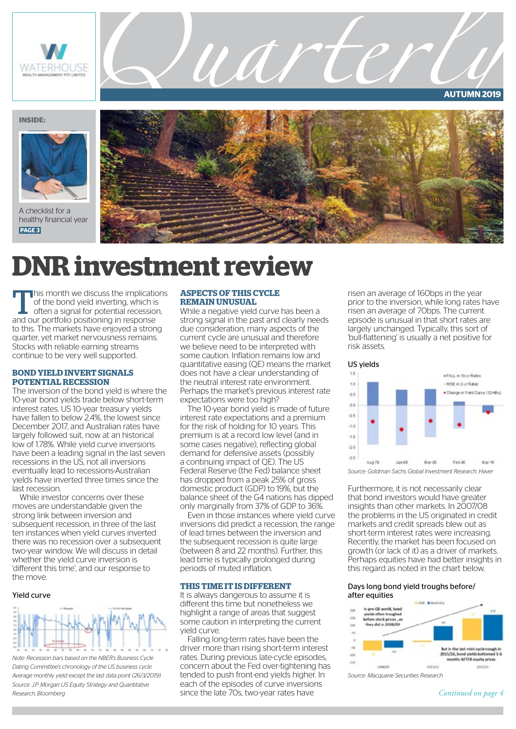

**AUTUMN 2019**

### **INSIDE:**



A checklist for a healthy financial year **PAGE 3**



## **DNR investment review**

This month we discuss the implications<br>of the bond yield inverting, which is<br>often a signal for potential recession, of the bond yield inverting, which is often a signal for potential recession, and our portfolio positioning in response to this. The markets have enjoyed a strong quarter, yet market nervousness remains. Stocks with reliable earning streams continue to be very well supported.

### **BOND YIELD INVERT SIGNALS POTENTIAL RECESSION**

The inversion of the bond yield is where the 10-year bond yields trade below short-term interest rates. US 10-year treasury yields have fallen to below 2.4%, the lowest since December 2017, and Australian rates have largely followed suit, now at an historical low of 1.78%. While yield curve inversions have been a leading signal in the last seven recessions in the US, not all inversions eventually lead to recessions-Australian yields have inverted three times since the last recession.

While investor concerns over these moves are understandable given the strong link between inversion and subsequent recession, in three of the last ten instances when yield curves inverted there was no recession over a subsequent two-year window. We will discuss in detail whether the yield curve inversion is 'different this time', and our response to the move.

### Yield curve



*Note: Recession bars based on the NBER's Business Cycle Dating Committee's chronology of the US business cycle. Average monthly yield except the last data point (26/3/2019). Source: J.P. Morgan US Equity Strategy and Quantitative Research, Bloomberg* 

### **ASPECTS OF THIS CYCLE REMAIN UNUSUAL**

While a negative yield curve has been a strong signal in the past and clearly needs due consideration, many aspects of the current cycle are unusual and therefore we believe need to be interpreted with some caution. Inflation remains low and quantitative easing (QE) means the market does not have a clear understanding of the neutral interest rate environment. Perhaps the market's previous interest rate expectations were too high?

UAI

The 10-year bond yield is made of future interest rate expectations and a premium for the risk of holding for 10 years. This premium is at a record low level (and in some cases negative), reflecting global demand for defensive assets (possibly a continuing impact of QE). The US Federal Reserve (the Fed) balance sheet has dropped from a peak 25% of gross domestic product (GDP) to 19%, but the balance sheet of the G4 nations has dipped only marginally from 37% of GDP to 36%.

Even in those instances where yield curve inversions did predict a recession, the range of lead times between the inversion and the subsequent recession is quite large (between 8 and 22 months). Further, this lead time is typically prolonged during periods of muted inflation.

### **THIS TIME IT IS DIFFERENT**

It is always dangerous to assume it is different this time but nonetheless we highlight a range of areas that suggest some caution in interpreting the current yield curve.

Falling long-term rates have been the driver more than rising short-term interest rates. During previous late-cycle episodes, concern about the Fed over-tightening has tended to push front-end yields higher. In each of the episodes of curve inversions since the late 70s, two-year rates have

risen an average of 160bps in the year prior to the inversion, while long rates have risen an average of 70bps. The current episode is unusual in that short rates are largely unchanged. Typically, this sort of 'bull-flattening' is usually a net positive for risk assets.



*Source: Goldman Sachs Global Investment Research, Haver* 

Furthermore, it is not necessarily clear that bond investors would have greater insights than other markets. In 2007/08 the problems in the US originated in credit markets and credit spreads blew out as short-term interest rates were increasing. Recently, the market has been focused on growth (or lack of it) as a driver of markets. Perhaps equities have had better insights in this regard as noted in the chart below.

### Days long bond yield troughs before/ after equities



*Source: Macquarie Securities Research*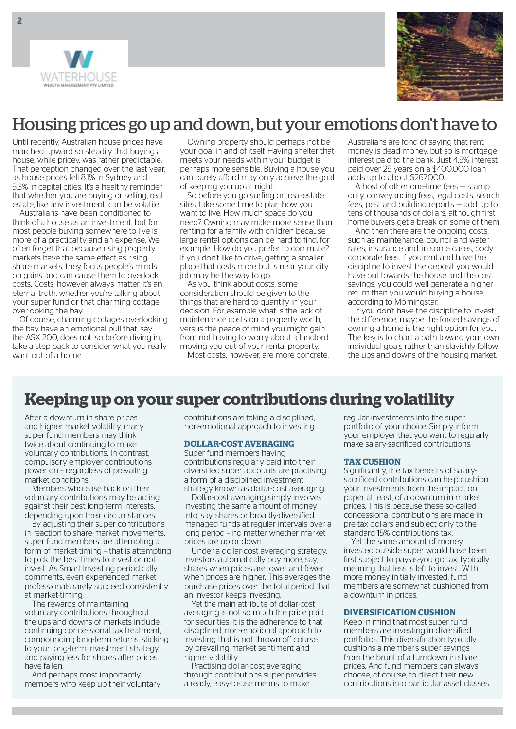



## Housing prices go up and down, but your emotions don't have to

Until recently, Australian house prices have marched upward so steadily that buying a house, while pricey, was rather predictable. That perception changed over the last year, as house prices fell 8.1% in Sydney and 5.3% in capital cities. It's a healthy reminder that whether you are buying or selling, real estate, like any investment, can be volatile.

Australians have been conditioned to think of a house as an investment, but for most people buying somewhere to live is more of a practicality and an expense. We often forget that because rising property markets have the same effect as rising share markets, they focus people's minds on gains and can cause them to overlook costs. Costs, however, always matter. It's an eternal truth, whether you're talking about your super fund or that charming cottage overlooking the bay.

Of course, charming cottages overlooking the bay have an emotional pull that, say the ASX 200, does not, so before diving in, take a step back to consider what you really want out of a home.

Owning property should perhaps not be your goal in and of itself. Having shelter that meets your needs within your budget is perhaps more sensible. Buying a house you can barely afford may only achieve the goal of keeping you up at night.

So before you go surfing on real-estate sites, take some time to plan how you want to live. How much space do you need? Owning may make more sense than renting for a family with children because large rental options can be hard to find, for example. How do you prefer to commute? If you don't like to drive, getting a smaller place that costs more but is near your city job may be the way to go.

As you think about costs, some consideration should be given to the things that are hard to quantify in your decision. For example what is the lack of maintenance costs on a property worth, versus the peace of mind you might gain from not having to worry about a landlord moving you out of your rental property. Most costs, however, are more concrete.

Australians are fond of saying that rent money is dead money, but so is mortgage interest paid to the bank. Just 4.5% interest paid over 25 years on a \$400,000 loan adds up to about \$267,000.

A host of other one-time fees — stamp duty, conveyancing fees, legal costs, search fees, pest and building reports — add up to tens of thousands of dollars, although first home buyers get a break on some of them.

And then there are the ongoing costs, such as maintenance, council and water rates, insurance and, in some cases, body corporate fees. If you rent and have the discipline to invest the deposit you would have put towards the house and the cost savings, you could well generate a higher return than you would buying a house, according to Morningstar.

If you don't have the discipline to invest the difference, maybe the forced savings of owning a home is the right option for you. The key is to chart a path toward your own individual goals rather than slavishly follow the ups and downs of the housing market.

## **Keeping up on your super contributions during volatility**

After a downturn in share prices and higher market volatility, many super fund members may think twice about continuing to make voluntary contributions. In contrast, compulsory employer contributions power on – regardless of prevailing market conditions.

Members who ease back on their voluntary contributions may be acting against their best long-term interests, depending upon their circumstances.

By adjusting their super contributions in reaction to share-market movements, super fund members are attempting a form of market-timing – that is attempting to pick the best times to invest or not invest. As Smart Investing periodically comments, even experienced market professionals rarely succeed consistently at market-timing.

The rewards of maintaining voluntary contributions throughout the ups and downs of markets include: continuing concessional tax treatment, compounding long-term returns, sticking to your long-term investment strategy and paying less for shares after prices have fallen.

And perhaps most importantly, members who keep up their voluntary contributions are taking a disciplined, non-emotional approach to investing.

### **DOLLAR-COST AVERAGING**

Super fund members having contributions regularly paid into their diversified super accounts are practising a form of a disciplined investment strategy known as dollar-cost averaging.

Dollar-cost averaging simply involves investing the same amount of money into, say, shares or broadly-diversified managed funds at regular intervals over a long period – no matter whether market prices are up or down.

Under a dollar-cost averaging strategy, investors automatically buy more, say, shares when prices are lower and fewer when prices are higher. This averages the purchase prices over the total period that an investor keeps investing.

Yet the main attribute of dollar-cost averaging is not so much the price paid for securities. It is the adherence to that disciplined, non-emotional approach to investing that is not thrown off course by prevailing market sentiment and higher volatility.

Practising dollar-cost averaging through contributions super provides a ready, easy-to-use means to make

regular investments into the super portfolio of your choice. Simply inform your employer that you want to regularly make salary-sacrificed contributions.

### **TAX CUSHION**

Significantly, the tax benefits of salarysacrificed contributions can help cushion your investments from the impact, on paper at least, of a downturn in market prices. This is because these so-called concessional contributions are made in pre-tax dollars and subject only to the standard 15% contributions tax.

Yet the same amount of money invested outside super would have been first subject to pay-as-you go tax; typically meaning that less is left to invest. With more money initially invested, fund members are somewhat cushioned from a downturn in prices.

### **DIVERSIFICATION CUSHION**

Keep in mind that most super fund members are investing in diversified portfolios. This diversification typically cushions a member's super savings from the brunt of a turndown in share prices. And fund members can always choose, of course, to direct their new contributions into particular asset classes.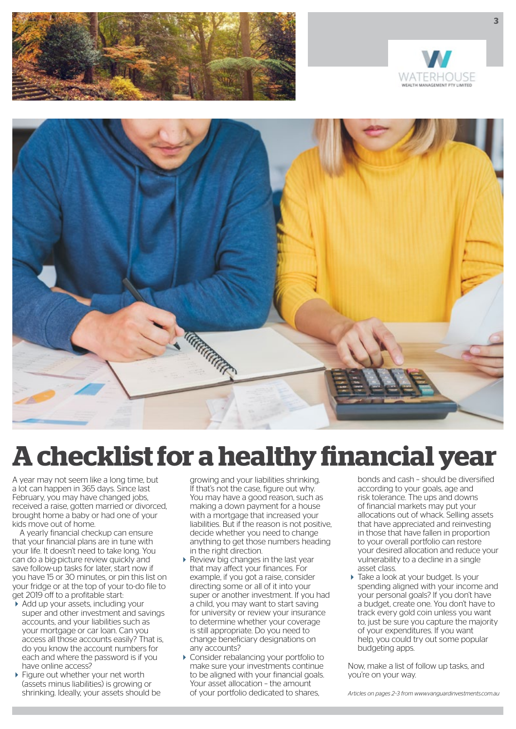





# **A checklist for a healthy financial year**

A year may not seem like a long time, but a lot can happen in 365 days. Since last February, you may have changed jobs, received a raise, gotten married or divorced, brought home a baby or had one of your kids move out of home.

A yearly financial checkup can ensure that your financial plans are in tune with your life. It doesn't need to take long. You can do a big-picture review quickly and save follow-up tasks for later, start now if you have 15 or 30 minutes, or pin this list on your fridge or at the top of your to-do file to get 2019 off to a profitable start:

- Add up your assets, including your super and other investment and savings accounts, and your liabilities such as your mortgage or car loan. Can you access all those accounts easily? That is, do you know the account numbers for each and where the password is if you have online access?
- ▶ Figure out whether your net worth (assets minus liabilities) is growing or shrinking. Ideally, your assets should be

growing and your liabilities shrinking. If that's not the case, figure out why. You may have a good reason, such as making a down payment for a house with a mortgage that increased your liabilities. But if the reason is not positive, decide whether you need to change anything to get those numbers heading in the right direction.

- ▶ Review big changes in the last year that may affect your finances. For example, if you got a raise, consider directing some or all of it into your super or another investment. If you had a child, you may want to start saving for university or review your insurance to determine whether your coverage is still appropriate. Do you need to change beneficiary designations on any accounts?
- Consider rebalancing your portfolio to make sure your investments continue to be aligned with your financial goals. Your asset allocation – the amount of your portfolio dedicated to shares,

bonds and cash – should be diversified according to your goals, age and risk tolerance. The ups and downs of financial markets may put your allocations out of whack. Selling assets that have appreciated and reinvesting in those that have fallen in proportion to your overall portfolio can restore your desired allocation and reduce your vulnerability to a decline in a single asset class.

 $\triangleright$  Take a look at your budget. Is your spending aligned with your income and your personal goals? If you don't have a budget, create one. You don't have to track every gold coin unless you want to, just be sure you capture the majority of your expenditures. If you want help, you could try out some popular budgeting apps.

Now, make a list of follow up tasks, and you're on your way.